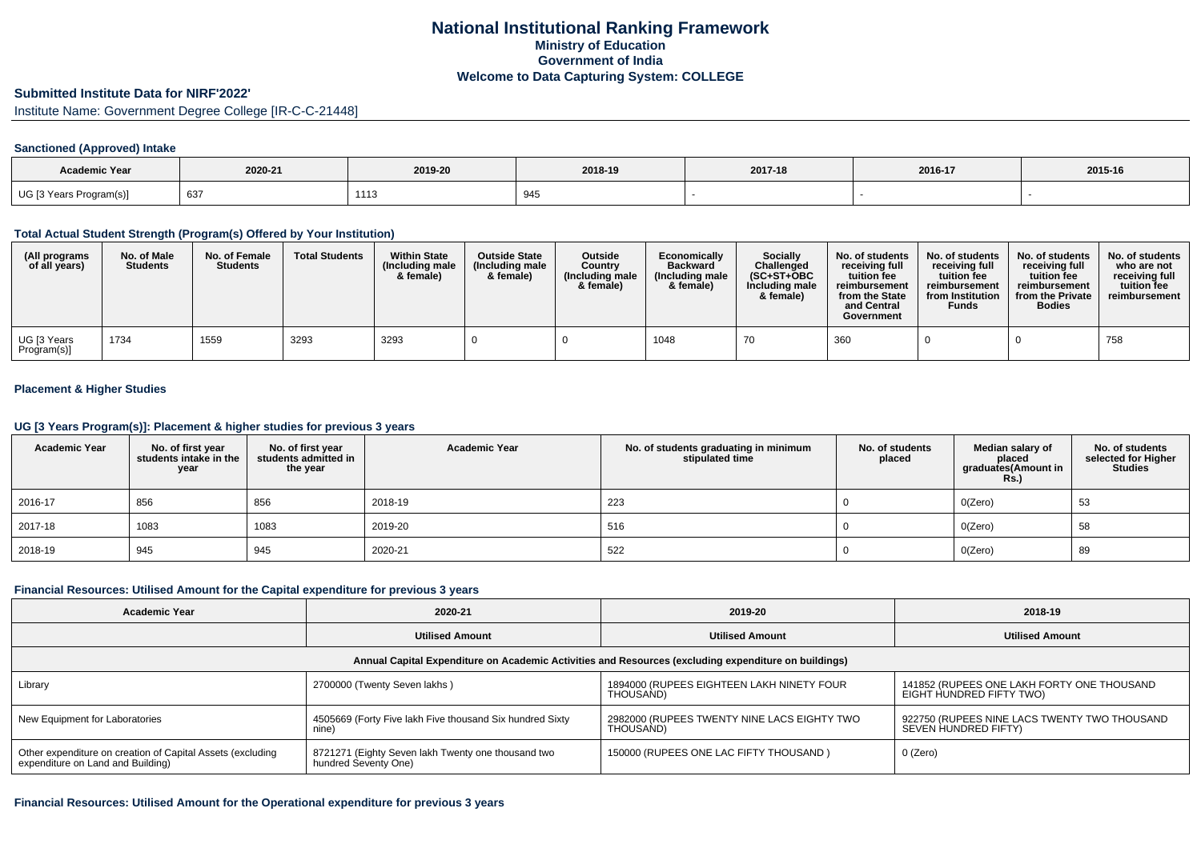### **Submitted Institute Data for NIRF'2022'**

Institute Name: Government Degree College [IR-C-C-21448]

#### **Sanctioned (Approved) Intake**

| <b>Academic Year</b>    | 2020-21 | 2019-20 | 2018-19 | 2017-18 | 2016-17 | 2015-16 |
|-------------------------|---------|---------|---------|---------|---------|---------|
| UG [3 Years Program(s)] | 637     | 1113    | 945     |         |         |         |

### **Total Actual Student Strength (Program(s) Offered by Your Institution)**

| (All programs<br>of all years) | No. of Male<br><b>Students</b> | No. of Female<br><b>Students</b> | <b>Total Students</b> | <b>Within State</b><br>(Including male<br>& female) | <b>Outside State</b><br>(Including male<br>& female) | <b>Outside</b><br>Country<br>(Including male<br>& female) | Economically<br><b>Backward</b><br>(Including male<br>& female) | <b>Socially</b><br>Challenged<br>$(SC+ST+OBC$<br>Including male<br>& female) | No. of students<br>receivina full<br>tuition fee<br>reimbursement<br>from the State<br>and Central<br>Government | No. of students<br>receiving full<br>tuition fee<br>reimbursement<br>from Institution<br><b>Funds</b> | No. of students<br>receiving full<br>tuition fee<br>reimbursement<br>from the Private<br><b>Bodies</b> | No. of students<br>who are not<br>receiving full<br>tuition fee<br>reimbursement |
|--------------------------------|--------------------------------|----------------------------------|-----------------------|-----------------------------------------------------|------------------------------------------------------|-----------------------------------------------------------|-----------------------------------------------------------------|------------------------------------------------------------------------------|------------------------------------------------------------------------------------------------------------------|-------------------------------------------------------------------------------------------------------|--------------------------------------------------------------------------------------------------------|----------------------------------------------------------------------------------|
| UG [3 Years<br>Program(s)]     | 1734                           | 1559                             | 3293                  | 3293                                                |                                                      |                                                           | 1048                                                            | 7 U                                                                          | 360                                                                                                              |                                                                                                       |                                                                                                        | 758                                                                              |

## **Placement & Higher Studies**

#### **UG [3 Years Program(s)]: Placement & higher studies for previous 3 years**

| <b>Academic Year</b> | No. of first year<br>students intake in the<br>year | No. of first year<br>students admitted in<br>the year | <b>Academic Year</b> | No. of students graduating in minimum<br>stipulated time | No. of students<br>placed | Median salary of<br>placed<br>graduates(Amount in<br><b>Rs.)</b> | No. of students<br>selected for Higher<br><b>Studies</b> |
|----------------------|-----------------------------------------------------|-------------------------------------------------------|----------------------|----------------------------------------------------------|---------------------------|------------------------------------------------------------------|----------------------------------------------------------|
| 2016-17              | 856                                                 | 856                                                   | 2018-19              | 223                                                      |                           | O(Zero)                                                          | 53                                                       |
| 2017-18              | 1083                                                | 1083                                                  | 2019-20              | 516                                                      |                           | O(Zero)                                                          | 58                                                       |
| 2018-19              | 945                                                 | 945                                                   | 2020-21              | 522                                                      |                           | O(Zero)                                                          | 89                                                       |

#### **Financial Resources: Utilised Amount for the Capital expenditure for previous 3 years**

| <b>Academic Year</b>                                                                                 | 2020-21                                                                    | 2019-20                                                  | 2018-19                                                                |  |  |  |  |  |  |  |
|------------------------------------------------------------------------------------------------------|----------------------------------------------------------------------------|----------------------------------------------------------|------------------------------------------------------------------------|--|--|--|--|--|--|--|
|                                                                                                      | <b>Utilised Amount</b>                                                     | <b>Utilised Amount</b>                                   | <b>Utilised Amount</b>                                                 |  |  |  |  |  |  |  |
| Annual Capital Expenditure on Academic Activities and Resources (excluding expenditure on buildings) |                                                                            |                                                          |                                                                        |  |  |  |  |  |  |  |
| Library                                                                                              | 2700000 (Twenty Seven lakhs)                                               | 1894000 (RUPEES EIGHTEEN LAKH NINETY FOUR<br>THOUSAND)   | 141852 (RUPEES ONE LAKH FORTY ONE THOUSAND<br>EIGHT HUNDRED FIFTY TWO) |  |  |  |  |  |  |  |
| New Equipment for Laboratories                                                                       | 4505669 (Forty Five lakh Five thousand Six hundred Sixty<br>nine)          | 2982000 (RUPEES TWENTY NINE LACS EIGHTY TWO<br>THOUSAND) | 922750 (RUPEES NINE LACS TWENTY TWO THOUSAND<br>SEVEN HUNDRED FIFTY)   |  |  |  |  |  |  |  |
| Other expenditure on creation of Capital Assets (excluding<br>expenditure on Land and Building)      | 8721271 (Eighty Seven lakh Twenty one thousand two<br>hundred Seventy One) | 150000 (RUPEES ONE LAC FIFTY THOUSAND)                   | 0 (Zero)                                                               |  |  |  |  |  |  |  |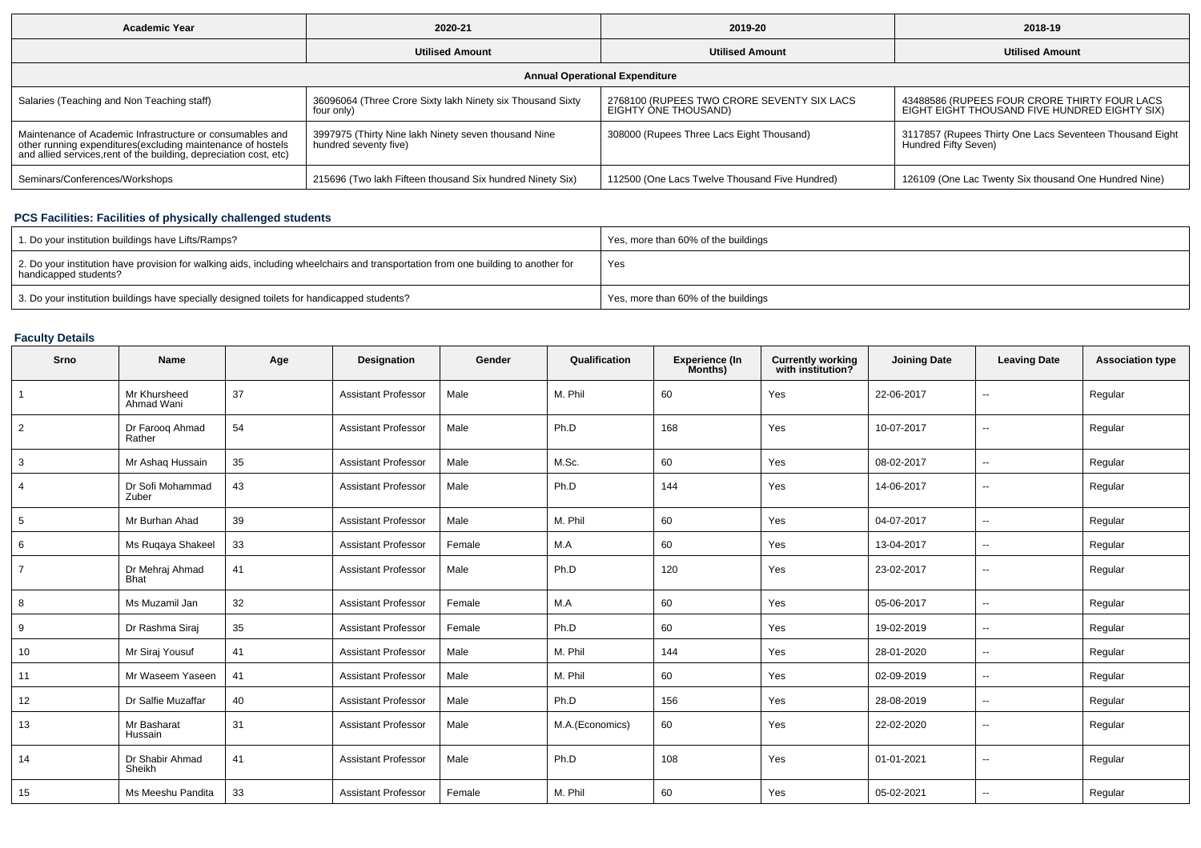| <b>Academic Year</b>                                                                                                                                                                            | 2020-21                                                                       |                                                                    | 2018-19                                                                                       |  |  |  |  |  |  |
|-------------------------------------------------------------------------------------------------------------------------------------------------------------------------------------------------|-------------------------------------------------------------------------------|--------------------------------------------------------------------|-----------------------------------------------------------------------------------------------|--|--|--|--|--|--|
|                                                                                                                                                                                                 | <b>Utilised Amount</b>                                                        | <b>Utilised Amount</b>                                             | <b>Utilised Amount</b>                                                                        |  |  |  |  |  |  |
| <b>Annual Operational Expenditure</b>                                                                                                                                                           |                                                                               |                                                                    |                                                                                               |  |  |  |  |  |  |
| Salaries (Teaching and Non Teaching staff)                                                                                                                                                      | 36096064 (Three Crore Sixty lakh Ninety six Thousand Sixty<br>four only)      | 2768100 (RUPEES TWO CRORE SEVENTY SIX LACS<br>EIGHTY ONE THOUSAND) | 43488586 (RUPEES FOUR CRORE THIRTY FOUR LACS<br>EIGHT EIGHT THOUSAND FIVE HUNDRED EIGHTY SIX) |  |  |  |  |  |  |
| Maintenance of Academic Infrastructure or consumables and<br>other running expenditures (excluding maintenance of hostels<br>and allied services, rent of the building, depreciation cost, etc) | 3997975 (Thirty Nine lakh Ninety seven thousand Nine<br>hundred seventy five) | 308000 (Rupees Three Lacs Eight Thousand)                          | 3117857 (Rupees Thirty One Lacs Seventeen Thousand Eight<br>Hundred Fifty Seven)              |  |  |  |  |  |  |
| Seminars/Conferences/Workshops                                                                                                                                                                  | 215696 (Two lakh Fifteen thousand Six hundred Ninety Six)                     | 112500 (One Lacs Twelve Thousand Five Hundred)                     | 126109 (One Lac Twenty Six thousand One Hundred Nine)                                         |  |  |  |  |  |  |

## **PCS Facilities: Facilities of physically challenged students**

| 1. Do your institution buildings have Lifts/Ramps?                                                                                                         | Yes, more than 60% of the buildings |
|------------------------------------------------------------------------------------------------------------------------------------------------------------|-------------------------------------|
| 2. Do your institution have provision for walking aids, including wheelchairs and transportation from one building to another for<br>handicapped students? | Yes                                 |
| 3. Do your institution buildings have specially designed toilets for handicapped students?                                                                 | Yes, more than 60% of the buildings |

# **Faculty Details**

| Srno           | <b>Name</b>                    | Age | Designation                | Gender | Qualification   | Experience (In<br>Months) | <b>Currently working</b><br>with institution? | <b>Joining Date</b> | <b>Leaving Date</b>      | <b>Association type</b> |
|----------------|--------------------------------|-----|----------------------------|--------|-----------------|---------------------------|-----------------------------------------------|---------------------|--------------------------|-------------------------|
| 1              | Mr Khursheed<br>Ahmad Wani     | 37  | <b>Assistant Professor</b> | Male   | M. Phil         | 60                        | Yes                                           | 22-06-2017          | $\sim$                   | Regular                 |
| 2              | Dr Faroog Ahmad<br>Rather      | 54  | <b>Assistant Professor</b> | Male   | Ph.D            | 168                       | Yes                                           | 10-07-2017          | $\sim$                   | Regular                 |
| 3              | Mr Ashag Hussain               | 35  | <b>Assistant Professor</b> | Male   | M.Sc.           | 60                        | Yes                                           | 08-02-2017          | $\sim$                   | Regular                 |
| 4              | Dr Sofi Mohammad<br>Zuber      | 43  | <b>Assistant Professor</b> | Male   | Ph.D            | 144                       | Yes                                           | 14-06-2017          | $\sim$                   | Regular                 |
| 5              | Mr Burhan Ahad                 | 39  | <b>Assistant Professor</b> | Male   | M. Phil         | 60                        | Yes                                           | 04-07-2017          | $\sim$                   | Regular                 |
| 6              | Ms Rugaya Shakeel              | 33  | <b>Assistant Professor</b> | Female | M.A             | 60                        | Yes                                           | 13-04-2017          | $\sim$                   | Regular                 |
| $\overline{7}$ | Dr Mehraj Ahmad<br><b>Bhat</b> | 41  | <b>Assistant Professor</b> | Male   | Ph.D            | 120                       | Yes                                           | 23-02-2017          | $\sim$                   | Regular                 |
| 8              | Ms Muzamil Jan                 | 32  | <b>Assistant Professor</b> | Female | M.A             | 60                        | Yes                                           | 05-06-2017          | $\sim$                   | Regular                 |
| 9              | Dr Rashma Siraj                | 35  | <b>Assistant Professor</b> | Female | Ph.D            | 60                        | Yes                                           | 19-02-2019          | $\sim$                   | Regular                 |
| 10             | Mr Siraj Yousuf                | 41  | <b>Assistant Professor</b> | Male   | M. Phil         | 144                       | Yes                                           | 28-01-2020          | $\sim$                   | Regular                 |
| 11             | Mr Waseem Yaseen               | 41  | <b>Assistant Professor</b> | Male   | M. Phil         | 60                        | Yes                                           | 02-09-2019          | $\sim$                   | Regular                 |
| 12             | Dr Salfie Muzaffar             | 40  | <b>Assistant Professor</b> | Male   | Ph.D            | 156                       | Yes                                           | 28-08-2019          | $\sim$                   | Regular                 |
| 13             | Mr Basharat<br>Hussain         | 31  | <b>Assistant Professor</b> | Male   | M.A.(Economics) | 60                        | Yes                                           | 22-02-2020          | $\overline{\phantom{a}}$ | Regular                 |
| 14             | Dr Shabir Ahmad<br>Sheikh      | 41  | <b>Assistant Professor</b> | Male   | Ph.D            | 108                       | Yes                                           | 01-01-2021          | $\sim$                   | Regular                 |
| 15             | Ms Meeshu Pandita              | 33  | <b>Assistant Professor</b> | Female | M. Phil         | 60                        | Yes                                           | 05-02-2021          | $\sim$                   | Regular                 |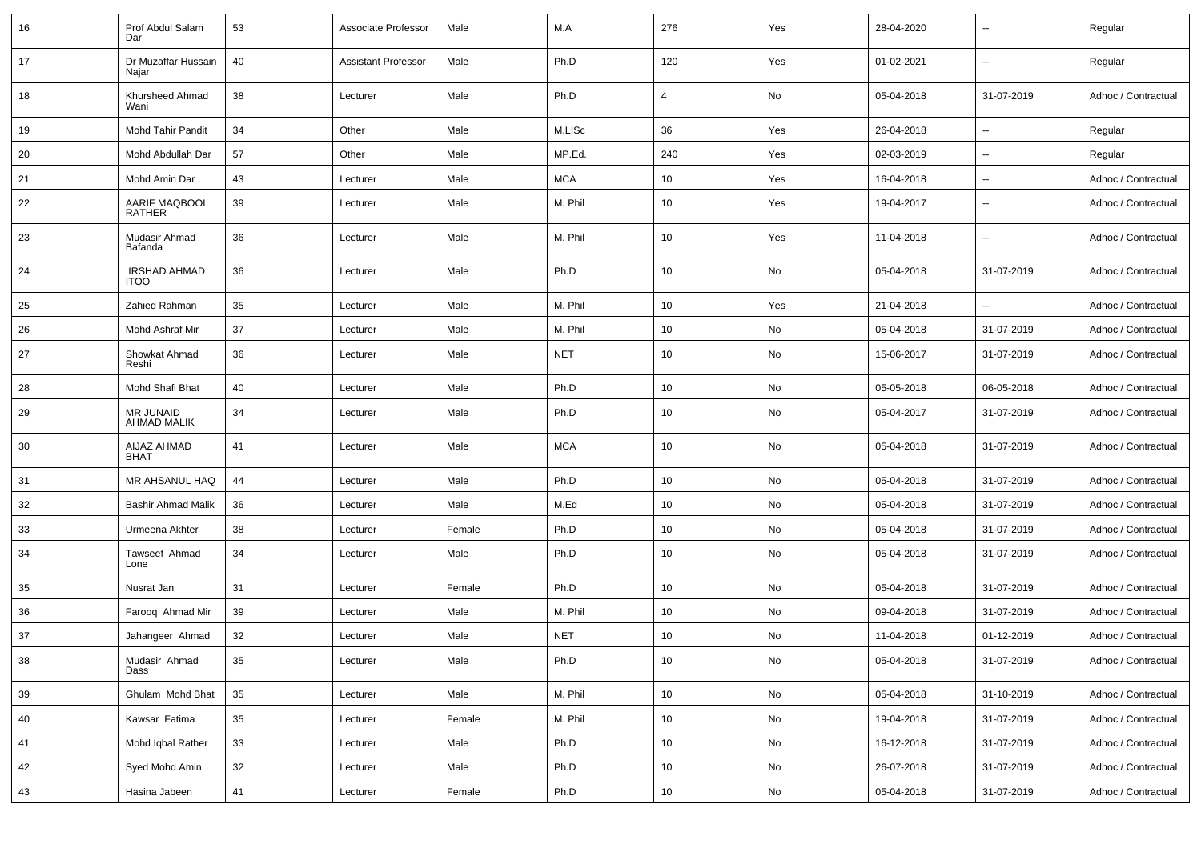| 16 | Prof Abdul Salam<br>Dar                | 53 | Associate Professor        | Male   | M.A        | 276 | Yes           | 28-04-2020 |                          | Regular             |
|----|----------------------------------------|----|----------------------------|--------|------------|-----|---------------|------------|--------------------------|---------------------|
| 17 | Dr Muzaffar Hussain<br>Najar           | 40 | <b>Assistant Professor</b> | Male   | Ph.D       | 120 | Yes           | 01-02-2021 | $\sim$                   | Regular             |
| 18 | Khursheed Ahmad<br>Wani                | 38 | Lecturer                   | Male   | Ph.D       | 4   | No            | 05-04-2018 | 31-07-2019               | Adhoc / Contractual |
| 19 | <b>Mohd Tahir Pandit</b>               | 34 | Other                      | Male   | M.LISc     | 36  | Yes           | 26-04-2018 | $\overline{\phantom{a}}$ | Regular             |
| 20 | Mohd Abdullah Dar                      | 57 | Other                      | Male   | MP.Ed.     | 240 | Yes           | 02-03-2019 | $\overline{\phantom{a}}$ | Regular             |
| 21 | Mohd Amin Dar                          | 43 | Lecturer                   | Male   | <b>MCA</b> | 10  | Yes           | 16-04-2018 | $\mathbf{u}$             | Adhoc / Contractual |
| 22 | AARIF MAQBOOL<br>RATHER                | 39 | Lecturer                   | Male   | M. Phil    | 10  | Yes           | 19-04-2017 | $\overline{\phantom{a}}$ | Adhoc / Contractual |
| 23 | Mudasir Ahmad<br>Bafanda               | 36 | Lecturer                   | Male   | M. Phil    | 10  | Yes           | 11-04-2018 | $\sim$                   | Adhoc / Contractual |
| 24 | <b>IRSHAD AHMAD</b><br><b>ITOO</b>     | 36 | Lecturer                   | Male   | Ph.D       | 10  | No            | 05-04-2018 | 31-07-2019               | Adhoc / Contractual |
| 25 | Zahied Rahman                          | 35 | Lecturer                   | Male   | M. Phil    | 10  | Yes           | 21-04-2018 |                          | Adhoc / Contractual |
| 26 | Mohd Ashraf Mir                        | 37 | Lecturer                   | Male   | M. Phil    | 10  | No            | 05-04-2018 | 31-07-2019               | Adhoc / Contractual |
| 27 | Showkat Ahmad<br>Reshi                 | 36 | Lecturer                   | Male   | <b>NET</b> | 10  | No            | 15-06-2017 | 31-07-2019               | Adhoc / Contractual |
| 28 | Mohd Shafi Bhat                        | 40 | Lecturer                   | Male   | Ph.D       | 10  | No            | 05-05-2018 | 06-05-2018               | Adhoc / Contractual |
| 29 | <b>MR JUNAID</b><br><b>AHMAD MALIK</b> | 34 | Lecturer                   | Male   | Ph.D       | 10  | No            | 05-04-2017 | 31-07-2019               | Adhoc / Contractual |
| 30 | AIJAZ AHMAD<br><b>BHAT</b>             | 41 | Lecturer                   | Male   | <b>MCA</b> | 10  | No            | 05-04-2018 | 31-07-2019               | Adhoc / Contractual |
| 31 | MR AHSANUL HAQ                         | 44 | Lecturer                   | Male   | Ph.D       | 10  | No            | 05-04-2018 | 31-07-2019               | Adhoc / Contractual |
| 32 | <b>Bashir Ahmad Malik</b>              | 36 | Lecturer                   | Male   | M.Ed       | 10  | No            | 05-04-2018 | 31-07-2019               | Adhoc / Contractual |
| 33 | Urmeena Akhter                         | 38 | Lecturer                   | Female | Ph.D       | 10  | No            | 05-04-2018 | 31-07-2019               | Adhoc / Contractual |
| 34 | Tawseef Ahmad<br>Lone                  | 34 | Lecturer                   | Male   | Ph.D       | 10  | No            | 05-04-2018 | 31-07-2019               | Adhoc / Contractual |
| 35 | Nusrat Jan                             | 31 | Lecturer                   | Female | Ph.D       | 10  | No            | 05-04-2018 | 31-07-2019               | Adhoc / Contractual |
| 36 | Faroog Ahmad Mir                       | 39 | Lecturer                   | Male   | M. Phil    | 10  | No            | 09-04-2018 | 31-07-2019               | Adhoc / Contractual |
| 37 | Jahangeer Ahmad                        | 32 | Lecturer                   | Male   | <b>NET</b> | 10  | No            | 11-04-2018 | 01-12-2019               | Adhoc / Contractual |
| 38 | Mudasir Ahmad<br>Dass                  | 35 | Lecturer                   | Male   | Ph.D       | 10  | No            | 05-04-2018 | 31-07-2019               | Adhoc / Contractual |
| 39 | Ghulam Mohd Bhat                       | 35 | Lecturer                   | Male   | M. Phil    | 10  | No            | 05-04-2018 | 31-10-2019               | Adhoc / Contractual |
| 40 | Kawsar Fatima                          | 35 | Lecturer                   | Female | M. Phil    | 10  | No            | 19-04-2018 | 31-07-2019               | Adhoc / Contractual |
| 41 | Mohd Iqbal Rather                      | 33 | Lecturer                   | Male   | Ph.D       | 10  | No            | 16-12-2018 | 31-07-2019               | Adhoc / Contractual |
| 42 | Syed Mohd Amin                         | 32 | Lecturer                   | Male   | Ph.D       | 10  | $\mathsf{No}$ | 26-07-2018 | 31-07-2019               | Adhoc / Contractual |
| 43 | Hasina Jabeen                          | 41 | Lecturer                   | Female | Ph.D       | 10  | No            | 05-04-2018 | 31-07-2019               | Adhoc / Contractual |